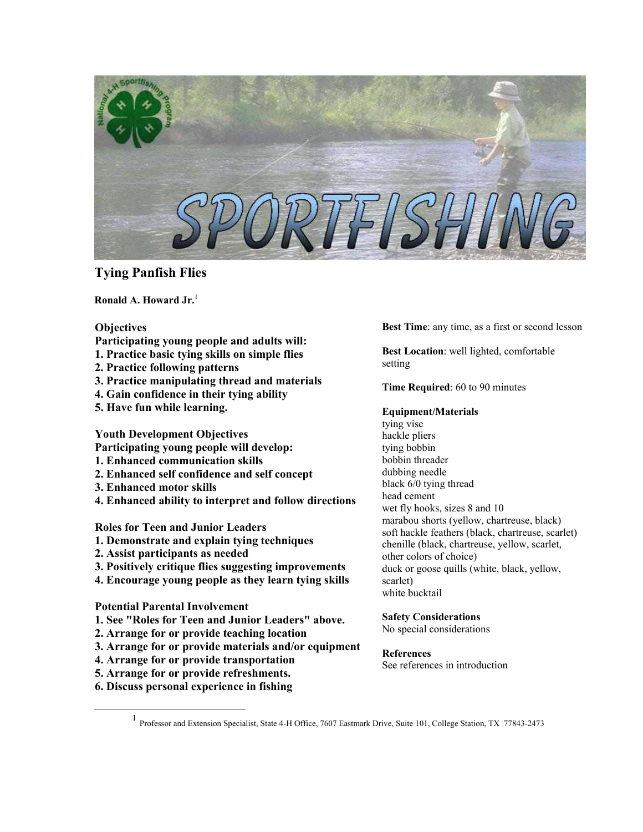

# **Tying Panfish Flies**

**Ronald A. Howard Jr.** [1](#page-0-0)

- **Objectives**
- **Participating young people and adults will:**
- **1. Practice basic tying skills on simple flies**
- **2. Practice following patterns**
- **3. Practice manipulating thread and materials**
- **4. Gain confidence in their tying ability**
- **5. Have fun while learning.**

**Youth Development Objectives** 

- **Participating young people will develop:**
- **1. Enhanced communication skills**
- **2. Enhanced self confidence and self concept**
- **3. Enhanced motor skills**
- **4. Enhanced ability to interpret and follow directions**

**Roles for Teen and Junior Leaders** 

- **1. Demonstrate and explain tying techniques**
- **2. Assist participants as needed**
- **3. Positively critique flies suggesting improvements**
- **4. Encourage young people as they learn tying skills**

## **Potential Parental Involvement**

- **1. See "Roles for Teen and Junior Leaders" above.**
- **2. Arrange for or provide teaching location**
- **3. Arrange for or provide materials and/or equipment**
- **4. Arrange for or provide transportation**
- **5. Arrange for or provide refreshments.**
- **6. Discuss personal experience in fishing**

**Best Time**: any time, as a first or second lesson

**Best Location**: well lighted, comfortable setting

**Time Required**: 60 to 90 minutes

## **Equipment/Materials**

tying vise hackle pliers tying bobbin bobbin threader dubbing needle black 6/0 tying thread head cement wet fly hooks, sizes 8 and 10 marabou shorts (yellow, chartreuse, black) soft hackle feathers (black, chartreuse, scarlet) chenille (black, chartreuse, yellow, scarlet, other colors of choice) duck or goose quills (white, black, yellow, scarlet) white bucktail

## **Safety Considerations**

No special considerations

## **References**

See references in introduction

<span id="page-0-0"></span><sup>&</sup>lt;u>1</u> Professor and Extension Specialist, State 4-H Office, 7607 Eastmark Drive, Suite 101, College Station, TX 77843-2473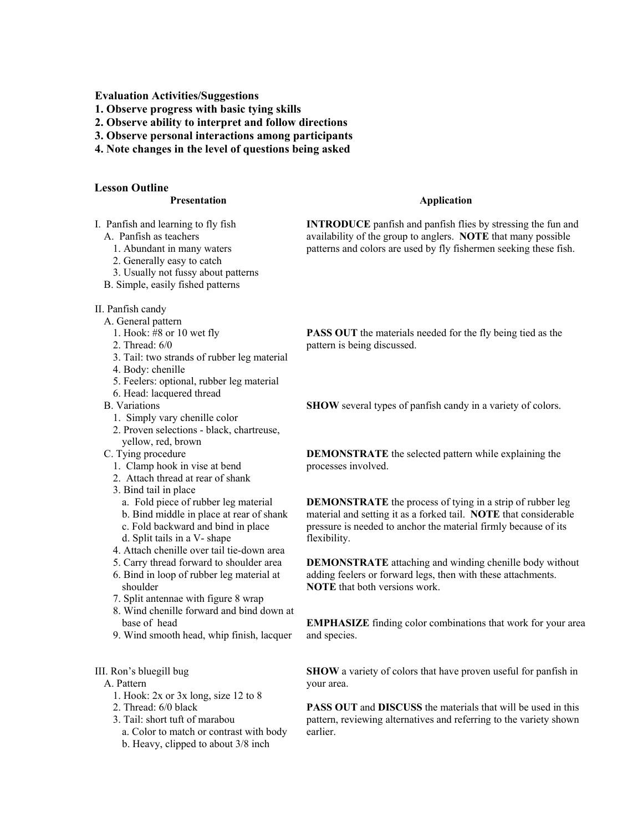**Evaluation Activities/Suggestions** 

- **1. Observe progress with basic tying skills**
- **2. Observe ability to interpret and follow directions**
- **3. Observe personal interactions among participants**
- **4. Note changes in the level of questions being asked**

### **Lesson Outline**

#### **Presentation**

- I. Panfish and learning to fly fish
	- A. Panfish as teachers
		- 1. Abundant in many waters
		- 2. Generally easy to catch
		- 3. Usually not fussy about patterns
	- B. Simple, easily fished patterns
- II. Panfish candy
	- A. General pattern
		- 1. Hook: #8 or 10 wet fly
		- 2. Thread: 6/0
		- 3. Tail: two strands of rubber leg material
		- 4. Body: chenille
		- 5. Feelers: optional, rubber leg material
		- 6. Head: lacquered thread
	- B. Variations
		- 1. Simply vary chenille color
		- 2. Proven selections black, chartreuse, yellow, red, brown
	- C. Tying procedure
		- 1. Clamp hook in vise at bend
		- 2. Attach thread at rear of shank
		- 3. Bind tail in place
			- a. Fold piece of rubber leg material
			- b. Bind middle in place at rear of shank
			- c. Fold backward and bind in place
			- d. Split tails in a V- shape
		- 4. Attach chenille over tail tie-down area
		- 5. Carry thread forward to shoulder area 6. Bind in loop of rubber leg material at shoulder
		- 7. Split antennae with figure 8 wrap
		- 8. Wind chenille forward and bind down at base of head
		- 9. Wind smooth head, whip finish, lacquer

#### III. Ron's bluegill bug

- A. Pattern
	- 1. Hook: 2x or 3x long, size 12 to 8
	- 2. Thread: 6/0 black
	- 3. Tail: short tuft of marabou
		- a. Color to match or contrast with body
		- b. Heavy, clipped to about 3/8 inch

#### **Application**

**INTRODUCE** panfish and panfish flies by stressing the fun and availability of the group to anglers. **NOTE** that many possible patterns and colors are used by fly fishermen seeking these fish.

**PASS OUT** the materials needed for the fly being tied as the pattern is being discussed.

**SHOW** several types of panfish candy in a variety of colors.

**DEMONSTRATE** the selected pattern while explaining the processes involved.

**DEMONSTRATE** the process of tying in a strip of rubber leg material and setting it as a forked tail. **NOTE** that considerable pressure is needed to anchor the material firmly because of its flexibility.

**DEMONSTRATE** attaching and winding chenille body without adding feelers or forward legs, then with these attachments. **NOTE** that both versions work.

**EMPHASIZE** finding color combinations that work for your area and species.

**SHOW** a variety of colors that have proven useful for panfish in your area.

**PASS OUT** and **DISCUSS** the materials that will be used in this pattern, reviewing alternatives and referring to the variety shown earlier.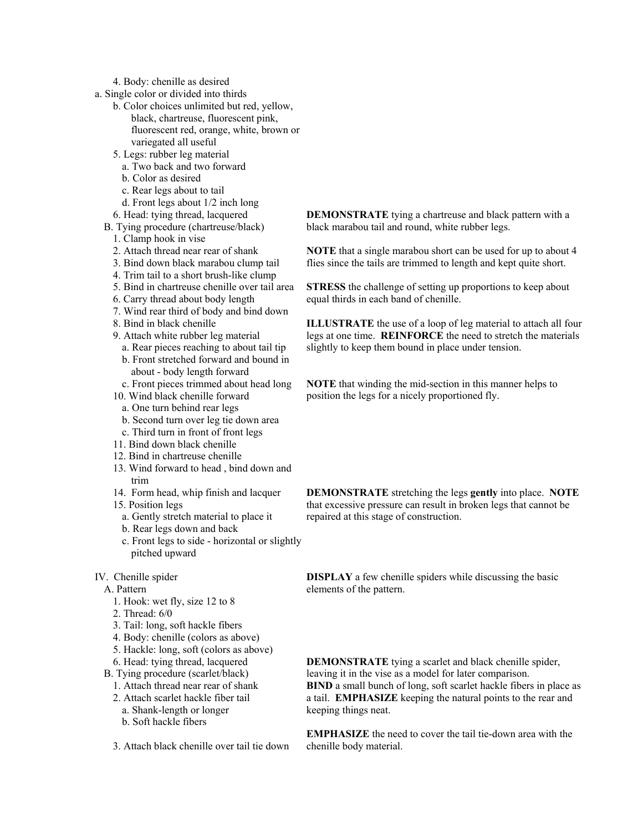#### 4. Body: chenille as desired

- a. Single color or divided into thirds
	- b. Color choices unlimited but red, yellow,
		- black, chartreuse, fluorescent pink, fluorescent red, orange, white, brown or variegated all useful
	- 5. Legs: rubber leg material
	- a. Two back and two forward
	- b. Color as desired
	- c. Rear legs about to tail
	- d. Front legs about 1/2 inch long
	- 6. Head: tying thread, lacquered
	- B. Tying procedure (chartreuse/black)
		- 1. Clamp hook in vise
		- 2. Attach thread near rear of shank
		- 3. Bind down black marabou clump tail
		- 4. Trim tail to a short brush-like clump
		- 5. Bind in chartreuse chenille over tail area
		- 6. Carry thread about body length
		- 7. Wind rear third of body and bind down
		- 8. Bind in black chenille
		- 9. Attach white rubber leg material
			- a. Rear pieces reaching to about tail tip
			- b. Front stretched forward and bound in about - body length forward
		- c. Front pieces trimmed about head long
		- 10. Wind black chenille forward
			- a. One turn behind rear legs
			- b. Second turn over leg tie down area
		- c. Third turn in front of front legs
		- 11. Bind down black chenille
		- 12. Bind in chartreuse chenille
		- 13. Wind forward to head , bind down and trim
		- 14. Form head, whip finish and lacquer
		- 15. Position legs
			- a. Gently stretch material to place it
			- b. Rear legs down and back
			- c. Front legs to side horizontal or slightly pitched upward
- IV. Chenille spider
	- A. Pattern
		- 1. Hook: wet fly, size 12 to 8
		- 2. Thread: 6/0
		- 3. Tail: long, soft hackle fibers
		- 4. Body: chenille (colors as above)
		- 5. Hackle: long, soft (colors as above)
		- 6. Head: tying thread, lacquered
	- B. Tying procedure (scarlet/black)
	- 1. Attach thread near rear of shank
	- 2. Attach scarlet hackle fiber tail a. Shank-length or longer
		- b. Soft hackle fibers

3. Attach black chenille over tail tie down

**DEMONSTRATE** tying a chartreuse and black pattern with a black marabou tail and round, white rubber legs.

**NOTE** that a single marabou short can be used for up to about 4 flies since the tails are trimmed to length and kept quite short.

**STRESS** the challenge of setting up proportions to keep about equal thirds in each band of chenille.

**ILLUSTRATE** the use of a loop of leg material to attach all four legs at one time. **REINFORCE** the need to stretch the materials slightly to keep them bound in place under tension.

**NOTE** that winding the mid-section in this manner helps to position the legs for a nicely proportioned fly.

**DEMONSTRATE** stretching the legs **gently** into place. **NOTE** that excessive pressure can result in broken legs that cannot be repaired at this stage of construction.

**DISPLAY** a few chenille spiders while discussing the basic elements of the pattern.

**DEMONSTRATE** tying a scarlet and black chenille spider, leaving it in the vise as a model for later comparison. **BIND** a small bunch of long, soft scarlet hackle fibers in place as a tail. **EMPHASIZE** keeping the natural points to the rear and keeping things neat.

**EMPHASIZE** the need to cover the tail tie-down area with the chenille body material.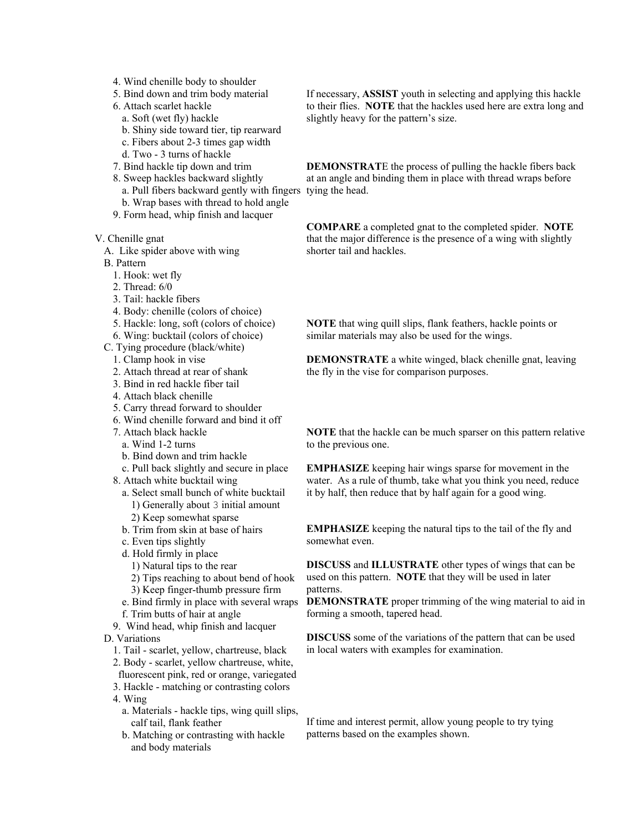- 4. Wind chenille body to shoulder
- 5. Bind down and trim body material
- 6. Attach scarlet hackle
	- a. Soft (wet fly) hackle
	- b. Shiny side toward tier, tip rearward
	- c. Fibers about 2-3 times gap width
	- d. Two 3 turns of hackle
- 7. Bind hackle tip down and trim
- 8. Sweep hackles backward slightly a. Pull fibers backward gently with fingers tying the head.
	- b. Wrap bases with thread to hold angle
- 9. Form head, whip finish and lacquer

V. Chenille gnat

A. Like spider above with wing

B. Pattern

- 1. Hook: wet fly
- 2. Thread:  $6/0$
- 3. Tail: hackle fibers
- 4. Body: chenille (colors of choice)
- 5. Hackle: long, soft (colors of choice)
- 6. Wing: bucktail (colors of choice)
- C. Tying procedure (black/white)
	- 1. Clamp hook in vise
	- 2. Attach thread at rear of shank
	- 3. Bind in red hackle fiber tail
	- 4. Attach black chenille
	- 5. Carry thread forward to shoulder
	- 6. Wind chenille forward and bind it off
	- 7. Attach black hackle
		- a. Wind 1-2 turns
		- b. Bind down and trim hackle
	- c. Pull back slightly and secure in place 8. Attach white bucktail wing
		- a. Select small bunch of white bucktail 1) Generally about 3 initial amount 2) Keep somewhat sparse
		- b. Trim from skin at base of hairs
		- c. Even tips slightly
		- d. Hold firmly in place
			- 1) Natural tips to the rear
			- 2) Tips reaching to about bend of hook

3) Keep finger-thumb pressure firm

- e. Bind firmly in place with several wraps f. Trim butts of hair at angle
- 9. Wind head, whip finish and lacquer

D. Variations

- 1. Tail scarlet, yellow, chartreuse, black
- 2. Body scarlet, yellow chartreuse, white,
- fluorescent pink, red or orange, variegated 3. Hackle - matching or contrasting colors
- 4. Wing
	- a. Materials hackle tips, wing quill slips, calf tail, flank feather
	- b. Matching or contrasting with hackle and body materials

If necessary, **ASSIST** youth in selecting and applying this hackle to their flies. **NOTE** that the hackles used here are extra long and slightly heavy for the pattern's size.

**DEMONSTRAT**E the process of pulling the hackle fibers back at an angle and binding them in place with thread wraps before

**COMPARE** a completed gnat to the completed spider. **NOTE** that the major difference is the presence of a wing with slightly shorter tail and hackles.

**NOTE** that wing quill slips, flank feathers, hackle points or similar materials may also be used for the wings.

**DEMONSTRATE** a white winged, black chenille gnat, leaving the fly in the vise for comparison purposes.

**NOTE** that the hackle can be much sparser on this pattern relative to the previous one.

**EMPHASIZE** keeping hair wings sparse for movement in the water. As a rule of thumb, take what you think you need, reduce it by half, then reduce that by half again for a good wing.

**EMPHASIZE** keeping the natural tips to the tail of the fly and somewhat even.

**DISCUSS** and **ILLUSTRATE** other types of wings that can be used on this pattern. **NOTE** that they will be used in later patterns.

**DEMONSTRATE** proper trimming of the wing material to aid in forming a smooth, tapered head.

**DISCUSS** some of the variations of the pattern that can be used in local waters with examples for examination.

If time and interest permit, allow young people to try tying patterns based on the examples shown.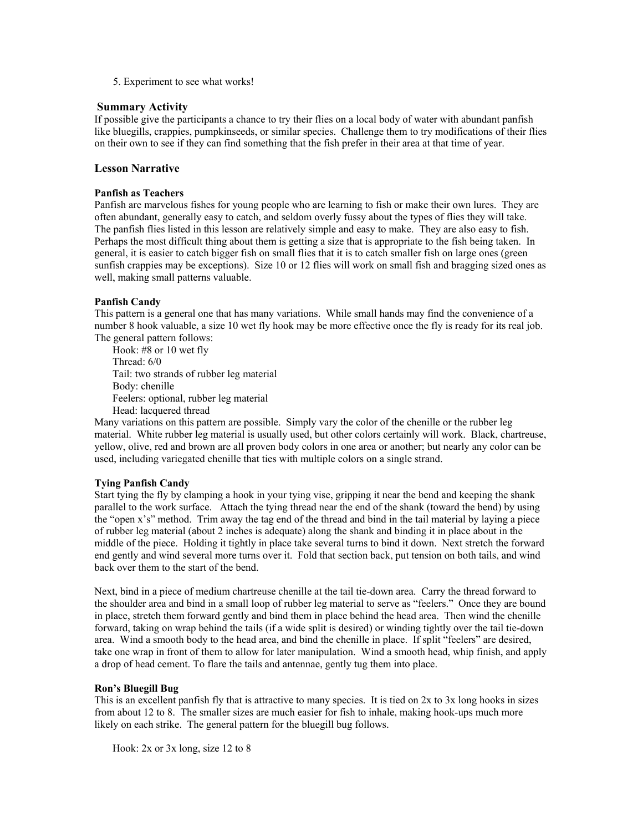5. Experiment to see what works!

#### **Summary Activity**

If possible give the participants a chance to try their flies on a local body of water with abundant panfish like bluegills, crappies, pumpkinseeds, or similar species. Challenge them to try modifications of their flies on their own to see if they can find something that the fish prefer in their area at that time of year.

## **Lesson Narrative**

#### **Panfish as Teachers**

Panfish are marvelous fishes for young people who are learning to fish or make their own lures. They are often abundant, generally easy to catch, and seldom overly fussy about the types of flies they will take. The panfish flies listed in this lesson are relatively simple and easy to make. They are also easy to fish. Perhaps the most difficult thing about them is getting a size that is appropriate to the fish being taken. In general, it is easier to catch bigger fish on small flies that it is to catch smaller fish on large ones (green sunfish crappies may be exceptions). Size 10 or 12 flies will work on small fish and bragging sized ones as well, making small patterns valuable.

### **Panfish Candy**

This pattern is a general one that has many variations. While small hands may find the convenience of a number 8 hook valuable, a size 10 wet fly hook may be more effective once the fly is ready for its real job. The general pattern follows:

Hook: #8 or 10 wet fly Thread: 6/0 Tail: two strands of rubber leg material Body: chenille Feelers: optional, rubber leg material Head: lacquered thread

Many variations on this pattern are possible. Simply vary the color of the chenille or the rubber leg material. White rubber leg material is usually used, but other colors certainly will work. Black, chartreuse, yellow, olive, red and brown are all proven body colors in one area or another; but nearly any color can be used, including variegated chenille that ties with multiple colors on a single strand.

#### **Tying Panfish Candy**

Start tying the fly by clamping a hook in your tying vise, gripping it near the bend and keeping the shank parallel to the work surface. Attach the tying thread near the end of the shank (toward the bend) by using the "open x's" method. Trim away the tag end of the thread and bind in the tail material by laying a piece of rubber leg material (about 2 inches is adequate) along the shank and binding it in place about in the middle of the piece. Holding it tightly in place take several turns to bind it down. Next stretch the forward end gently and wind several more turns over it. Fold that section back, put tension on both tails, and wind back over them to the start of the bend.

Next, bind in a piece of medium chartreuse chenille at the tail tie-down area. Carry the thread forward to the shoulder area and bind in a small loop of rubber leg material to serve as "feelers." Once they are bound in place, stretch them forward gently and bind them in place behind the head area. Then wind the chenille forward, taking on wrap behind the tails (if a wide split is desired) or winding tightly over the tail tie-down area. Wind a smooth body to the head area, and bind the chenille in place. If split "feelers" are desired, take one wrap in front of them to allow for later manipulation. Wind a smooth head, whip finish, and apply a drop of head cement. To flare the tails and antennae, gently tug them into place.

#### **Ron's Bluegill Bug**

This is an excellent panfish fly that is attractive to many species. It is tied on 2x to 3x long hooks in sizes from about 12 to 8. The smaller sizes are much easier for fish to inhale, making hook-ups much more likely on each strike. The general pattern for the bluegill bug follows.

Hook: 2x or 3x long, size 12 to 8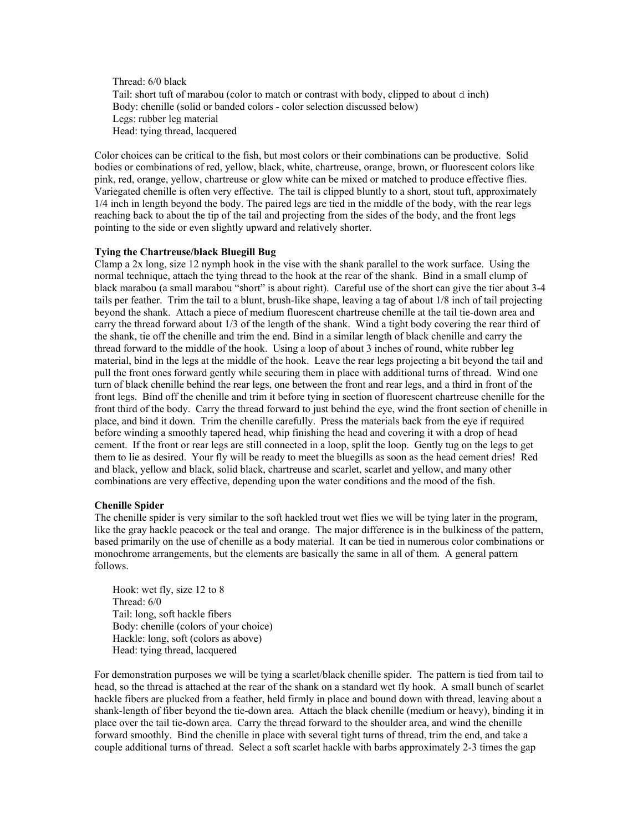Thread: 6/0 black Tail: short tuft of marabou (color to match or contrast with body, clipped to about d inch) Body: chenille (solid or banded colors - color selection discussed below) Legs: rubber leg material Head: tying thread, lacquered

Color choices can be critical to the fish, but most colors or their combinations can be productive. Solid bodies or combinations of red, yellow, black, white, chartreuse, orange, brown, or fluorescent colors like pink, red, orange, yellow, chartreuse or glow white can be mixed or matched to produce effective flies. Variegated chenille is often very effective. The tail is clipped bluntly to a short, stout tuft, approximately 1/4 inch in length beyond the body. The paired legs are tied in the middle of the body, with the rear legs reaching back to about the tip of the tail and projecting from the sides of the body, and the front legs pointing to the side or even slightly upward and relatively shorter.

### **Tying the Chartreuse/black Bluegill Bug**

Clamp a 2x long, size 12 nymph hook in the vise with the shank parallel to the work surface. Using the normal technique, attach the tying thread to the hook at the rear of the shank. Bind in a small clump of black marabou (a small marabou "short" is about right). Careful use of the short can give the tier about 3-4 tails per feather. Trim the tail to a blunt, brush-like shape, leaving a tag of about 1/8 inch of tail projecting beyond the shank. Attach a piece of medium fluorescent chartreuse chenille at the tail tie-down area and carry the thread forward about 1/3 of the length of the shank. Wind a tight body covering the rear third of the shank, tie off the chenille and trim the end. Bind in a similar length of black chenille and carry the thread forward to the middle of the hook. Using a loop of about 3 inches of round, white rubber leg material, bind in the legs at the middle of the hook. Leave the rear legs projecting a bit beyond the tail and pull the front ones forward gently while securing them in place with additional turns of thread. Wind one turn of black chenille behind the rear legs, one between the front and rear legs, and a third in front of the front legs. Bind off the chenille and trim it before tying in section of fluorescent chartreuse chenille for the front third of the body. Carry the thread forward to just behind the eye, wind the front section of chenille in place, and bind it down. Trim the chenille carefully. Press the materials back from the eye if required before winding a smoothly tapered head, whip finishing the head and covering it with a drop of head cement. If the front or rear legs are still connected in a loop, split the loop. Gently tug on the legs to get them to lie as desired. Your fly will be ready to meet the bluegills as soon as the head cement dries! Red and black, yellow and black, solid black, chartreuse and scarlet, scarlet and yellow, and many other combinations are very effective, depending upon the water conditions and the mood of the fish.

#### **Chenille Spider**

The chenille spider is very similar to the soft hackled trout wet flies we will be tying later in the program, like the gray hackle peacock or the teal and orange. The major difference is in the bulkiness of the pattern, based primarily on the use of chenille as a body material. It can be tied in numerous color combinations or monochrome arrangements, but the elements are basically the same in all of them. A general pattern follows.

Hook: wet fly, size 12 to 8 Thread: 6/0 Tail: long, soft hackle fibers Body: chenille (colors of your choice) Hackle: long, soft (colors as above) Head: tying thread, lacquered

For demonstration purposes we will be tying a scarlet/black chenille spider. The pattern is tied from tail to head, so the thread is attached at the rear of the shank on a standard wet fly hook. A small bunch of scarlet hackle fibers are plucked from a feather, held firmly in place and bound down with thread, leaving about a shank-length of fiber beyond the tie-down area. Attach the black chenille (medium or heavy), binding it in place over the tail tie-down area. Carry the thread forward to the shoulder area, and wind the chenille forward smoothly. Bind the chenille in place with several tight turns of thread, trim the end, and take a couple additional turns of thread. Select a soft scarlet hackle with barbs approximately 2-3 times the gap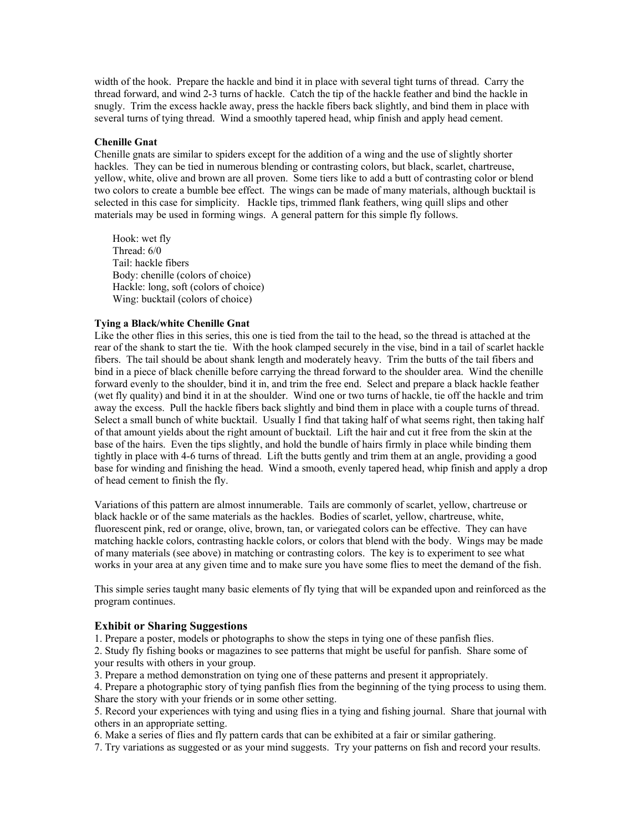width of the hook. Prepare the hackle and bind it in place with several tight turns of thread. Carry the thread forward, and wind 2-3 turns of hackle. Catch the tip of the hackle feather and bind the hackle in snugly. Trim the excess hackle away, press the hackle fibers back slightly, and bind them in place with several turns of tying thread. Wind a smoothly tapered head, whip finish and apply head cement.

#### **Chenille Gnat**

Chenille gnats are similar to spiders except for the addition of a wing and the use of slightly shorter hackles. They can be tied in numerous blending or contrasting colors, but black, scarlet, chartreuse, yellow, white, olive and brown are all proven. Some tiers like to add a butt of contrasting color or blend two colors to create a bumble bee effect. The wings can be made of many materials, although bucktail is selected in this case for simplicity. Hackle tips, trimmed flank feathers, wing quill slips and other materials may be used in forming wings. A general pattern for this simple fly follows.

Hook: wet fly Thread: 6/0 Tail: hackle fibers Body: chenille (colors of choice) Hackle: long, soft (colors of choice) Wing: bucktail (colors of choice)

### **Tying a Black/white Chenille Gnat**

Like the other flies in this series, this one is tied from the tail to the head, so the thread is attached at the rear of the shank to start the tie. With the hook clamped securely in the vise, bind in a tail of scarlet hackle fibers. The tail should be about shank length and moderately heavy. Trim the butts of the tail fibers and bind in a piece of black chenille before carrying the thread forward to the shoulder area. Wind the chenille forward evenly to the shoulder, bind it in, and trim the free end. Select and prepare a black hackle feather (wet fly quality) and bind it in at the shoulder. Wind one or two turns of hackle, tie off the hackle and trim away the excess. Pull the hackle fibers back slightly and bind them in place with a couple turns of thread. Select a small bunch of white bucktail. Usually I find that taking half of what seems right, then taking half of that amount yields about the right amount of bucktail. Lift the hair and cut it free from the skin at the base of the hairs. Even the tips slightly, and hold the bundle of hairs firmly in place while binding them tightly in place with 4-6 turns of thread. Lift the butts gently and trim them at an angle, providing a good base for winding and finishing the head. Wind a smooth, evenly tapered head, whip finish and apply a drop of head cement to finish the fly.

Variations of this pattern are almost innumerable. Tails are commonly of scarlet, yellow, chartreuse or black hackle or of the same materials as the hackles. Bodies of scarlet, yellow, chartreuse, white, fluorescent pink, red or orange, olive, brown, tan, or variegated colors can be effective. They can have matching hackle colors, contrasting hackle colors, or colors that blend with the body. Wings may be made of many materials (see above) in matching or contrasting colors. The key is to experiment to see what works in your area at any given time and to make sure you have some flies to meet the demand of the fish.

This simple series taught many basic elements of fly tying that will be expanded upon and reinforced as the program continues.

## **Exhibit or Sharing Suggestions**

1. Prepare a poster, models or photographs to show the steps in tying one of these panfish flies.

2. Study fly fishing books or magazines to see patterns that might be useful for panfish. Share some of your results with others in your group.

3. Prepare a method demonstration on tying one of these patterns and present it appropriately.

4. Prepare a photographic story of tying panfish flies from the beginning of the tying process to using them. Share the story with your friends or in some other setting.

5. Record your experiences with tying and using flies in a tying and fishing journal. Share that journal with others in an appropriate setting.

6. Make a series of flies and fly pattern cards that can be exhibited at a fair or similar gathering.

7. Try variations as suggested or as your mind suggests. Try your patterns on fish and record your results.